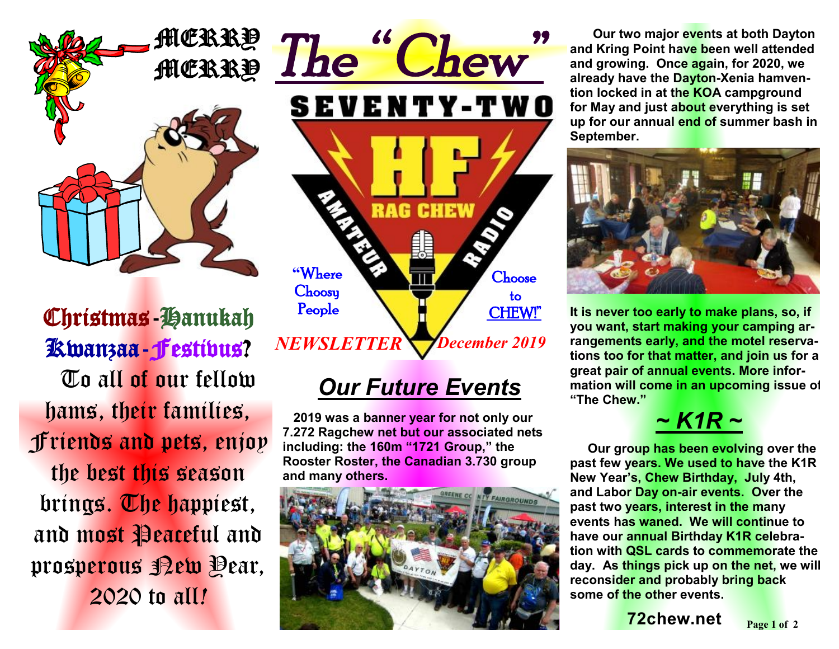

Christmas-Hanukah Kwanzaa-Festivus? To all of our fellow hams, their families, Friends and pets, enjoy the best this season brings. The happiest, and most Peaceful and prosperous Rew Oear, 2020 to all*!* 



# *Our Future Events*

 **2019 was a banner year for not only our 7.272 Ragchew net but our associated nets including: the 160m "1721 Group," the Rooster Roster, the Canadian 3.730 group and many others.** 



 **Our two major events at both Dayton and Kring Point have been well attended and growing. Once again, for 2020, we already have the Dayton-Xenia hamvention locked in at the KOA campground for May and just about everything is set up for our annual end of summer bash in September.** 



**It is never too early to make plans, so, if you want, start making your camping arrangements early, and the motel reservations too for that matter, and join us for a great pair of annual events. More information will come in an upcoming issue of "The Chew."** 



 **Our group has been evolving over the past few years. We used to have the K1R New Year's, Chew Birthday, July 4th, and Labor Day on-air events. Over the past two years, interest in the many events has waned. We will continue to have our annual Birthday K1R celebration with QSL cards to commemorate the day. As things pick up on the net, we will reconsider and probably bring back some of the other events.** 

**72chew.net**  $_{\text{Page 1 of 2}}$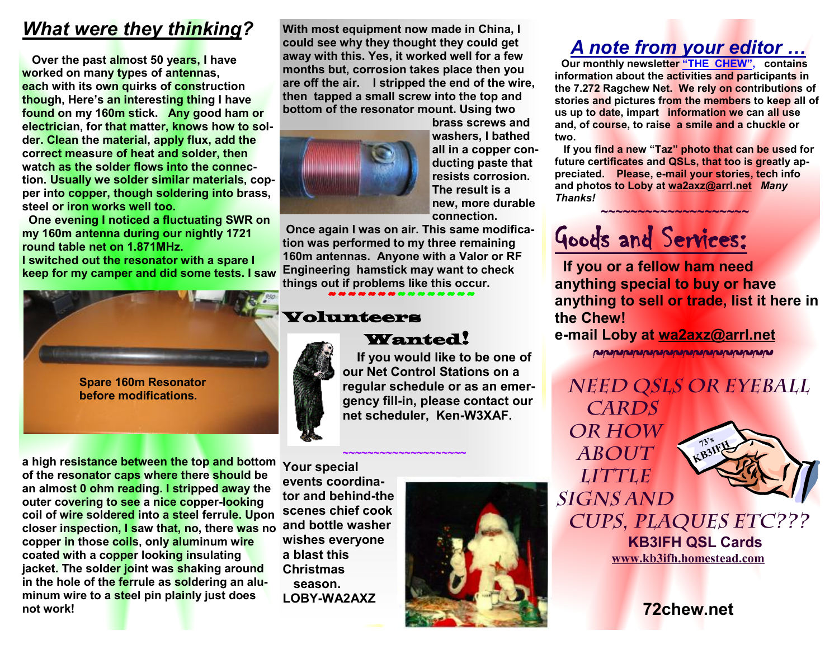## *What were they thinking?*

 **Over the past almost 50 years, I have worked on many types of antennas, each with its own quirks of construction though, Here's an interesting thing I have found on my 160m stick. Any good ham or electrician, for that matter, knows how to solder. Clean the material, apply flux, add the correct measure of heat and solder, then watch as the solder flows into the connection. Usually we solder similar materials, copper into copper, though soldering into brass, steel or iron works well too.** 

**One evening I noticed a fluctuating SWR on my 160m antenna during our nightly 1721 round table net on 1.871MHz. I switched out the resonator with a spare I keep for my camper and did some tests. I saw** 



**a high resistance between the top and bottom of the resonator caps where there should be an almost 0 ohm reading. I stripped away the outer covering to see a nice copper-looking coil of wire soldered into a steel ferrule. Upon closer inspection, I saw that, no, there was no and bottle washer copper in those coils, only aluminum wire coated with a copper looking insulating jacket. The solder joint was shaking around in the hole of the ferrule as soldering an aluminum wire to a steel pin plainly just does not work!** 

**With most equipment now made in China, I could see why they thought they could get away with this. Yes, it worked well for a few months but, corrosion takes place then you are off the air. I stripped the end of the wire, then tapped a small screw into the top and bottom of the resonator mount. Using two** 



**brass screws and washers, I bathed all in a copper conducting paste that resists corrosion. The result is a new, more durable connection.** 

 **Once again I was on air. This same modification was performed to my three remaining 160m antennas. Anyone with a Valor or RF Engineering hamstick may want to check things out if problems like this occur.**

~~~~~~~~~~~~~~~

#### Volunteers



Wanted!

**~~~~~~~~~~~~~~~~~~~~**

 **If you would like to be one of our Net Control Stations on a regular schedule or as an emergency fill-in, please contact our net scheduler, Ken-W3XAF.** 

**Your special events coordinator and behind-the scenes chief cook wishes everyone a blast this Christmas season. LOBY-WA2AXZ**



### *A note from your editor …*

 **Our monthly newsletter "THE CHEW", contains information about the activities and participants in the 7.272 Ragchew Net. We rely on contributions of stories and pictures from the members to keep all of us up to date, impart information we can all use and, of course, to raise a smile and a chuckle or two.** 

 **If you find a new "Taz" photo that can be used for future certificates and QSLs, that too is greatly appreciated. Please, e-mail your stories, tech info and photos to Loby at [wa2axz@arrl.net](mailto:wa2axz@arrl.net)** *Many Thanks!*   **~~~~~~~~~~~~~~~~~~~~**

# Goods and Services:

**If you or a fellow ham need anything special to buy or have anything to sell or trade, list it here in the Chew!** 

#### **e-mail Loby at [wa2axz@arrl.net](mailto:wa2axz@arrl.net)**

~~~~~~~~~~~~~~~~~~~

*Need QSLs or Eyeball Cards or how about* 

*little* 

*signs and* 



*cups, plaques etc???*   **KB3IFH QSL Cards [www.kb3ifh.homestead.com](http://www.kb3ifh.homestead.com)**   $\frac{1}{\sqrt{2}}$ 

**72chew.net**